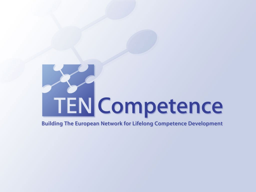# **TEN Competence**

#### **Building The European Network for Lifelong Competence Development**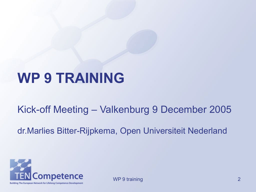#### **WP 9 TRAINING**

Kick-off Meeting – Valkenburg 9 December 2005

dr.Marlies Bitter-Rijpkema, Open Universiteit Nederland

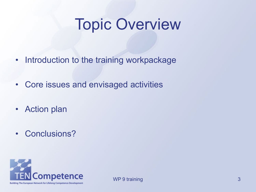#### Topic Overview

- Introduction to the training workpackage
- Core issues and envisaged activities
- Action plan
- Conclusions?

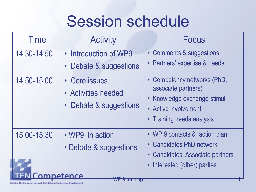### Session schedule

| <b>Time</b>                                                                      | <b>Activity</b>                                                               | <b>Focus</b>                                                                                                                                                         |  |  |
|----------------------------------------------------------------------------------|-------------------------------------------------------------------------------|----------------------------------------------------------------------------------------------------------------------------------------------------------------------|--|--|
| 14.30-14.50                                                                      | • Introduction of WP9<br>Debate & suggestions                                 | • Comments & suggestions<br>• Partners' expertise & needs                                                                                                            |  |  |
| 14.50-15.00                                                                      | • Core issues<br>• Activities needed<br>Debate & suggestions                  | Competency networks (PhD,<br>$\bullet$<br>associate partners)<br>• Knowledge exchange stimuli<br>• Active involvement<br><b>Training needs analysis</b><br>$\bullet$ |  |  |
| 15.00-15:30<br>Building The European Network for Lifelong Competence Development | • WP9 in action<br>• Debate & suggestions<br>mnetence<br><b>WP 9 training</b> | • WP 9 contacts & action plan<br><b>Candidates PhD network</b><br>• Candidates Associate partners<br>Interested (other) parties                                      |  |  |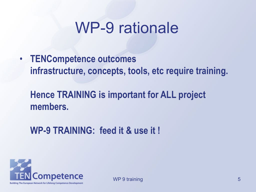#### WP-9 rationale

• **TENCompetence outcomes infrastructure, concepts, tools, etc require training.**

#### **Hence TRAINING is important for ALL project members.**

**WP-9 TRAINING: feed it & use it !**

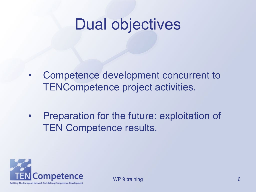#### Dual objectives

- Competence development concurrent to TENCompetence project activities.
- Preparation for the future: exploitation of TEN Competence results.

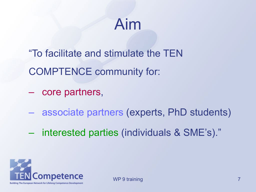#### Aim

"To facilitate and stimulate the TEN COMPTENCE community for:

– core partners,

- associate partners (experts, PhD students)
- interested parties (individuals & SME's)."



WP 9 training 200 and 200 and 200 and 200 and 200 and 200 and 200 and 200 and 200 and 200 and 200 and 200 and 200 and 200 and 200 and 200 and 200 and 200 and 200 and 200 and 200 and 200 and 200 and 200 and 200 and 200 and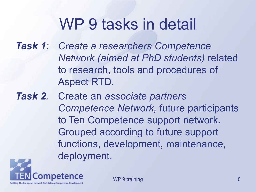#### WP 9 tasks in detail

*Task 1: Create a researchers Competence Network (aimed at PhD students)* related to research, tools and procedures of Aspect RTD.

*Task 2.* Create an *associate partners Competence Network,* future participants to Ten Competence support network. Grouped according to future support functions, development, maintenance, deployment.

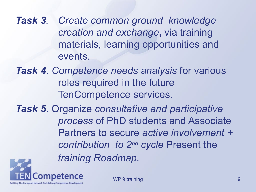*Task 3. Create common ground knowledge creation and exchange***,** via training materials, learning opportunities and events.

*Task 4*. *Competence needs analysis* for various roles required in the future TenCompetence services.

*Task 5.* Organize *consultative and participative process* of PhD students and Associate Partners to secure *active involvement + contribution to 2nd cycle* Present the *training Roadmap.*



WP 9 training the second state of the second state  $9$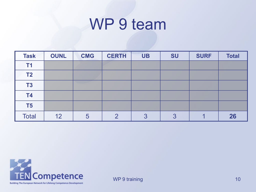#### WP 9 team

| <b>Task</b>    | <b>OUNL</b> | <b>CMG</b> | <b>CERTH</b> | <b>UB</b> | <b>SU</b> | <b>SURF</b> | <b>Total</b> |
|----------------|-------------|------------|--------------|-----------|-----------|-------------|--------------|
| <b>T1</b>      |             |            |              |           |           |             |              |
| T <sub>2</sub> |             |            |              |           |           |             |              |
| <b>T3</b>      |             |            |              |           |           |             |              |
| <b>T4</b>      |             |            |              |           |           |             |              |
| T <sub>5</sub> |             |            |              |           |           |             |              |
| <b>Total</b>   | 12          | 5          | റ            | 3         | 3         |             | 26           |

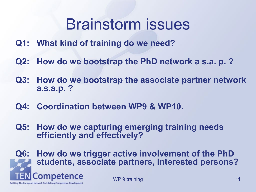#### Brainstorm issues

- **Q1: What kind of training do we need?**
- **Q2: How do we bootstrap the PhD network a s.a. p. ?**
- **Q3: How do we bootstrap the associate partner network a.s.a.p. ?**
- **Q4: Coordination between WP9 & WP10.**
- **Q5: How do we capturing emerging training needs efficiently and effectively?**
- **Q6: How do we trigger active involvement of the PhD students, associate partners, interested persons?**Competence WP 9 training 11 and 12 and 12 and 12 and 12 and 12 and 12 and 12 and 12 and 12 and 12 and 12 and 12 and 12 and 12 and 12 and 12 and 12 and 12 and 12 and 12 and 12 and 12 and 12 and 12 and 12 and 12 and 12 and 12 and 12 an Building The European Network for Lifelong Competence Development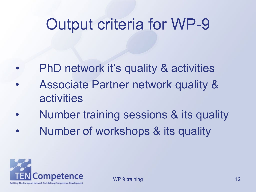#### Output criteria for WP-9

- PhD network it's quality & activities
- Associate Partner network quality & activities
- Number training sessions & its quality
- Number of workshops & its quality

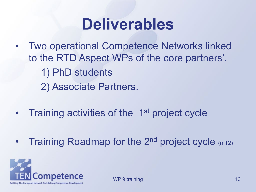#### **Deliverables**

- Two operational Competence Networks linked to the RTD Aspect WPs of the core partners'. 1) PhD students 2) Associate Partners.
- Training activities of the 1<sup>st</sup> project cycle
- Training Roadmap for the 2<sup>nd</sup> project cycle (m12)